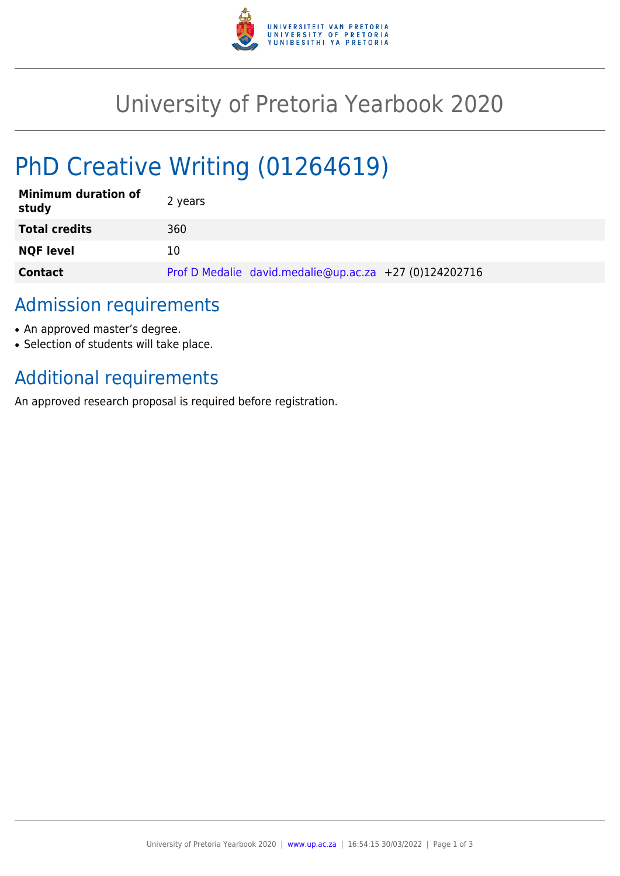

## University of Pretoria Yearbook 2020

# PhD Creative Writing (01264619)

| <b>Minimum duration of</b><br>study | 2 years                                                |
|-------------------------------------|--------------------------------------------------------|
| <b>Total credits</b>                | 360                                                    |
| <b>NQF level</b>                    | 10                                                     |
| <b>Contact</b>                      | Prof D Medalie david.medalie@up.ac.za +27 (0)124202716 |

### Admission requirements

- An approved master's degree.
- Selection of students will take place.

## Additional requirements

An approved research proposal is required before registration.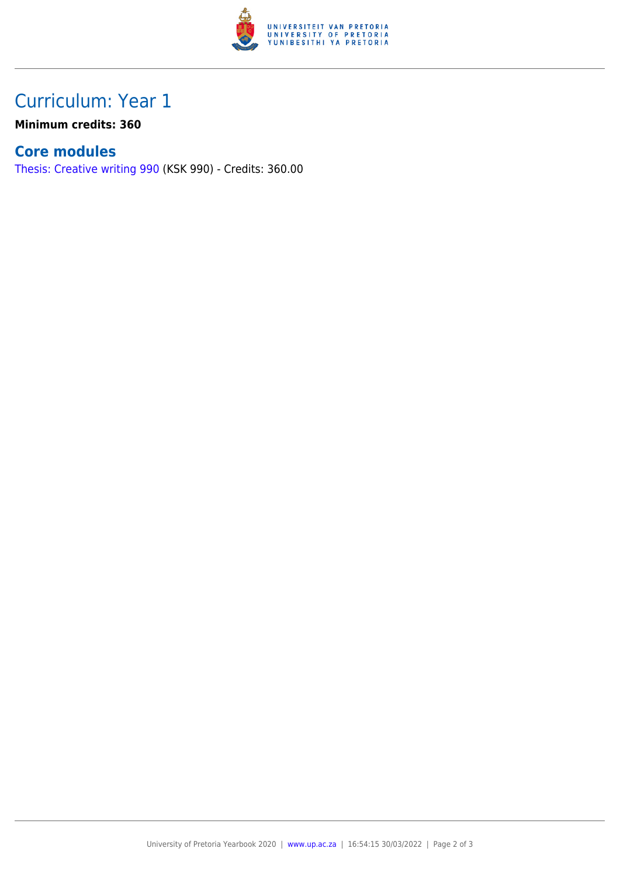

### Curriculum: Year 1

**Minimum credits: 360**

#### **Core modules**

[Thesis: Creative writing 990](https://www.up.ac.za/mechanical-and-aeronautical-engineering/yearbooks/2020/modules/view/KSK 990) (KSK 990) - Credits: 360.00